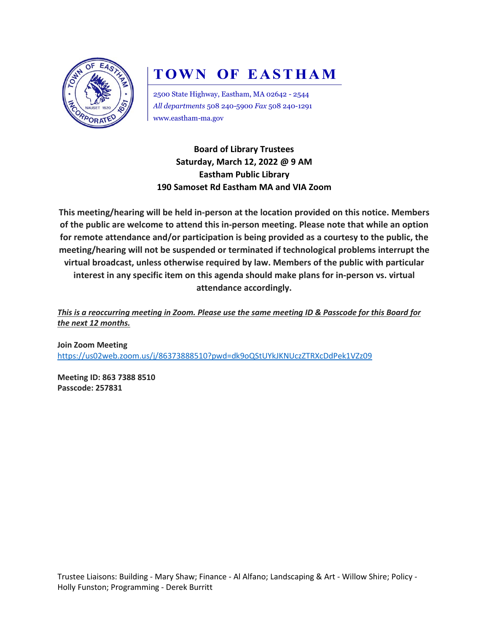

## **TOWN OF EASTHAM**

2500 State Highway, Eastham, MA 02642 - 2544 *All departments* 508 240-5900 *Fax* 508 240-1291 www.eastham-ma.gov

**Board of Library Trustees Saturday, March 12, 2022 @ 9 AM Eastham Public Library 190 Samoset Rd Eastham MA and VIA Zoom**

**This meeting/hearing will be held in-person at the location provided on this notice. Members of the public are welcome to attend this in-person meeting. Please note that while an option for remote attendance and/or participation is being provided as a courtesy to the public, the meeting/hearing will not be suspended or terminated if technological problems interrupt the virtual broadcast, unless otherwise required by law. Members of the public with particular interest in any specific item on this agenda should make plans for in-person vs. virtual attendance accordingly.**

*This is a reoccurring meeting in Zoom. Please use the same meeting ID & Passcode for this Board for the next 12 months.*

**Join Zoom Meeting** <https://us02web.zoom.us/j/86373888510?pwd=dk9oQStUYkJKNUczZTRXcDdPek1VZz09>

**Meeting ID: 863 7388 8510 Passcode: 257831**